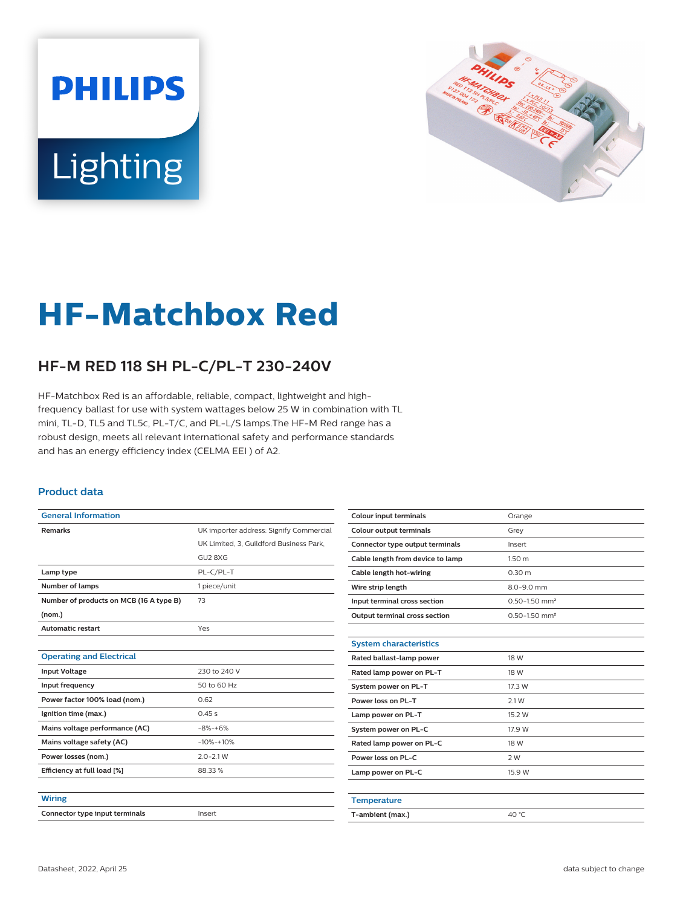# **PHILIPS** Lighting



## **HF-Matchbox Red**

### **HF-M RED 118 SH PL-C/PL-T 230-240V**

HF-Matchbox Red is an affordable, reliable, compact, lightweight and highfrequency ballast for use with system wattages below 25 W in combination with TL mini, TL-D, TL5 and TL5c, PL-T/C, and PL-L/S lamps.The HF-M Red range has a robust design, meets all relevant international safety and performance standards and has an energy efficiency index (CELMA EEI ) of A2.

#### **Product data**

| <b>General Information</b>              |                                         |  |  |  |
|-----------------------------------------|-----------------------------------------|--|--|--|
| <b>Remarks</b>                          | UK importer address: Signify Commercial |  |  |  |
|                                         | UK Limited, 3, Guildford Business Park, |  |  |  |
|                                         | GU2 8XG                                 |  |  |  |
| Lamp type                               | PL-C/PL-T                               |  |  |  |
| Number of lamps                         | 1 piece/unit                            |  |  |  |
| Number of products on MCB (16 A type B) | 73                                      |  |  |  |
| (nom.)                                  |                                         |  |  |  |
| <b>Automatic restart</b>                | Yes                                     |  |  |  |
|                                         |                                         |  |  |  |
| <b>Operating and Electrical</b>         |                                         |  |  |  |
| <b>Input Voltage</b>                    | 230 to 240 V                            |  |  |  |
| Input frequency                         | 50 to 60 Hz                             |  |  |  |
| Power factor 100% load (nom.)           | 0.62                                    |  |  |  |
| Ignition time (max.)                    | 0.45s                                   |  |  |  |
| Mains voltage performance (AC)          | $-8% -+6%$                              |  |  |  |
| Mains voltage safety (AC)               | $-10% -10%$                             |  |  |  |
| Power losses (nom.)                     | $2.0 - 2.1 W$                           |  |  |  |
| Efficiency at full load [%]             | 88.33%                                  |  |  |  |
|                                         |                                         |  |  |  |
| <b>Wiring</b>                           |                                         |  |  |  |
| Connector type input terminals          | Insert                                  |  |  |  |

| <b>Colour input terminals</b>        | Orange                        |  |  |
|--------------------------------------|-------------------------------|--|--|
| Colour output terminals              | Grey                          |  |  |
| Connector type output terminals      | Insert                        |  |  |
| Cable length from device to lamp     | 1.50 <sub>m</sub>             |  |  |
| Cable length hot-wiring              | 0.30 m                        |  |  |
| Wire strip length                    | 8.0-9.0 mm                    |  |  |
| Input terminal cross section         | $0.50 - 1.50$ mm <sup>2</sup> |  |  |
| <b>Output terminal cross section</b> | $0.50 - 1.50$ mm <sup>2</sup> |  |  |
|                                      |                               |  |  |
| <b>System characteristics</b>        |                               |  |  |
| Rated ballast-lamp power             | 18 W                          |  |  |
| Rated lamp power on PL-T             | 18 W                          |  |  |
| System power on PL-T                 | 17.3 W                        |  |  |
| Power loss on PI-T                   | 2.1 W                         |  |  |
| Lamp power on PL-T                   | 15.2 W                        |  |  |
| System power on PL-C                 | 17.9 W                        |  |  |
| Rated lamp power on PL-C             | 18 W                          |  |  |
| Power loss on PL-C                   | 2W                            |  |  |
| Lamp power on PL-C                   | 15.9 W                        |  |  |
|                                      |                               |  |  |
| <b>Temperature</b>                   |                               |  |  |
| T-ambient (max.)                     | 40 °C                         |  |  |
|                                      |                               |  |  |